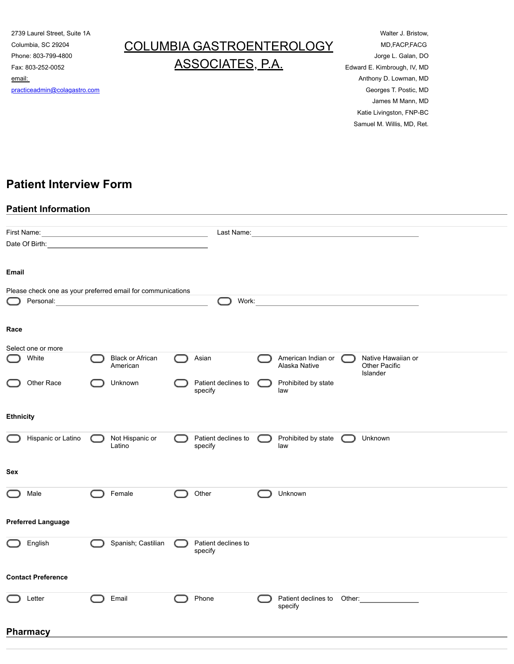2739 Laurel Street, Suite 1A Columbia, SC 29204 Phone: 803-799-4800 Fax: 803-252-0052 email: [practiceadmin@colagastro.com](mailto:practiceadmin@colagastro.com)

# COLUMBIA GASTROENTEROLOGY ASSOCIATES, P.A.

Walter J. Bristow, MD,FACP,FACG Jorge L. Galan, DO Edward E. Kimbrough, IV, MD Anthony D. Lowman, MD Georges T. Postic, MD James M Mann, MD Katie Livingston, FNP-BC Samuel M. Willis, MD, Ret.

## **Patient Interview Form**

#### **Patient Information**

|                           | First Name: <u>Contract Communication</u>                   |                                |                                                                                               |  |
|---------------------------|-------------------------------------------------------------|--------------------------------|-----------------------------------------------------------------------------------------------|--|
|                           |                                                             |                                |                                                                                               |  |
| Email                     |                                                             |                                |                                                                                               |  |
|                           | Please check one as your preferred email for communications |                                |                                                                                               |  |
| Personal:                 |                                                             | Work:                          |                                                                                               |  |
| Race                      |                                                             |                                |                                                                                               |  |
| Select one or more        |                                                             |                                |                                                                                               |  |
| White                     | <b>Black or African</b><br>American                         | Asian                          | Native Hawaiian or<br>American Indian or<br><b>Other Pacific</b><br>Alaska Native<br>Islander |  |
| Other Race                | Unknown                                                     | Patient declines to<br>specify | Prohibited by state<br>law                                                                    |  |
| <b>Ethnicity</b>          |                                                             |                                |                                                                                               |  |
| Hispanic or Latino        | Not Hispanic or<br>Latino                                   | Patient declines to<br>specify | Prohibited by state<br>Unknown<br>$\subset$<br>law                                            |  |
| Sex                       |                                                             |                                |                                                                                               |  |
| Male                      | Female                                                      | Other                          | Unknown                                                                                       |  |
| <b>Preferred Language</b> |                                                             |                                |                                                                                               |  |
| English                   | Spanish; Castilian                                          | Patient declines to<br>specify |                                                                                               |  |
| <b>Contact Preference</b> |                                                             |                                |                                                                                               |  |
| Letter                    | Email                                                       | Phone                          | Patient declines to Other:<br><u> </u><br>specify                                             |  |
| <b>Pharmacy</b>           |                                                             |                                |                                                                                               |  |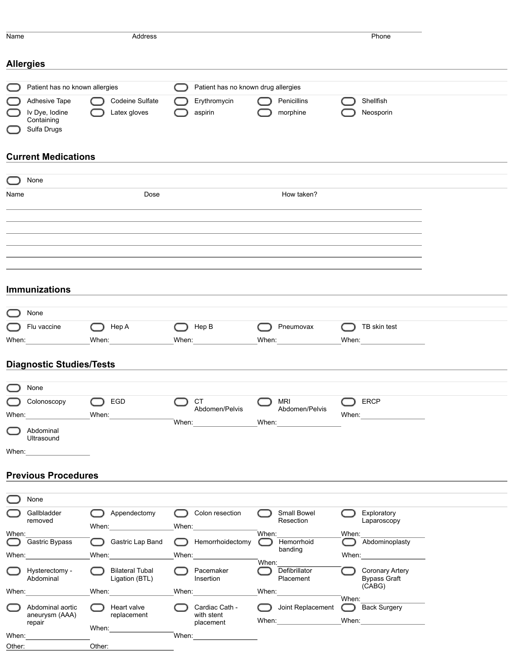| Name  |                                                                                                                                                                                                                                |       | Address                                                                                                                                                                                                                        |       |                                     |       |                          |       | Phone                         |  |
|-------|--------------------------------------------------------------------------------------------------------------------------------------------------------------------------------------------------------------------------------|-------|--------------------------------------------------------------------------------------------------------------------------------------------------------------------------------------------------------------------------------|-------|-------------------------------------|-------|--------------------------|-------|-------------------------------|--|
|       |                                                                                                                                                                                                                                |       |                                                                                                                                                                                                                                |       |                                     |       |                          |       |                               |  |
|       | <b>Allergies</b>                                                                                                                                                                                                               |       |                                                                                                                                                                                                                                |       |                                     |       |                          |       |                               |  |
|       |                                                                                                                                                                                                                                |       |                                                                                                                                                                                                                                |       |                                     |       |                          |       |                               |  |
|       | Patient has no known allergies                                                                                                                                                                                                 |       |                                                                                                                                                                                                                                |       | Patient has no known drug allergies |       |                          |       |                               |  |
|       | Adhesive Tape<br>Iv Dye, Iodine                                                                                                                                                                                                |       | Codeine Sulfate<br>Latex gloves                                                                                                                                                                                                |       | Erythromycin<br>aspirin             |       | Penicillins<br>morphine  |       | Shellfish<br>Neosporin        |  |
|       | Containing                                                                                                                                                                                                                     |       |                                                                                                                                                                                                                                |       |                                     |       |                          |       |                               |  |
|       | Sulfa Drugs                                                                                                                                                                                                                    |       |                                                                                                                                                                                                                                |       |                                     |       |                          |       |                               |  |
|       |                                                                                                                                                                                                                                |       |                                                                                                                                                                                                                                |       |                                     |       |                          |       |                               |  |
|       | <b>Current Medications</b>                                                                                                                                                                                                     |       |                                                                                                                                                                                                                                |       |                                     |       |                          |       |                               |  |
|       | None                                                                                                                                                                                                                           |       |                                                                                                                                                                                                                                |       |                                     |       |                          |       |                               |  |
| Name  |                                                                                                                                                                                                                                |       | Dose                                                                                                                                                                                                                           |       |                                     |       | How taken?               |       |                               |  |
|       |                                                                                                                                                                                                                                |       |                                                                                                                                                                                                                                |       |                                     |       |                          |       |                               |  |
|       |                                                                                                                                                                                                                                |       |                                                                                                                                                                                                                                |       |                                     |       |                          |       |                               |  |
|       |                                                                                                                                                                                                                                |       |                                                                                                                                                                                                                                |       |                                     |       |                          |       |                               |  |
|       |                                                                                                                                                                                                                                |       |                                                                                                                                                                                                                                |       |                                     |       |                          |       |                               |  |
|       |                                                                                                                                                                                                                                |       |                                                                                                                                                                                                                                |       |                                     |       |                          |       |                               |  |
|       |                                                                                                                                                                                                                                |       |                                                                                                                                                                                                                                |       |                                     |       |                          |       |                               |  |
|       |                                                                                                                                                                                                                                |       |                                                                                                                                                                                                                                |       |                                     |       |                          |       |                               |  |
|       | <b>Immunizations</b>                                                                                                                                                                                                           |       |                                                                                                                                                                                                                                |       |                                     |       |                          |       |                               |  |
|       | None                                                                                                                                                                                                                           |       |                                                                                                                                                                                                                                |       |                                     |       |                          |       |                               |  |
|       |                                                                                                                                                                                                                                |       |                                                                                                                                                                                                                                |       |                                     |       |                          |       |                               |  |
|       | Flu vaccine                                                                                                                                                                                                                    |       | Hep A                                                                                                                                                                                                                          |       | Hep B                               |       | Pneumovax                |       | TB skin test                  |  |
| When: |                                                                                                                                                                                                                                |       | When: When:                                                                                                                                                                                                                    |       | When: When:                         |       | When: When:              |       | When: $\qquad \qquad$         |  |
|       | <b>Diagnostic Studies/Tests</b>                                                                                                                                                                                                |       |                                                                                                                                                                                                                                |       |                                     |       |                          |       |                               |  |
|       |                                                                                                                                                                                                                                |       |                                                                                                                                                                                                                                |       |                                     |       |                          |       |                               |  |
|       | None                                                                                                                                                                                                                           |       |                                                                                                                                                                                                                                |       |                                     |       |                          |       |                               |  |
|       | Colonoscopy                                                                                                                                                                                                                    |       | EGD                                                                                                                                                                                                                            |       | <b>CT</b>                           |       | <b>MRI</b>               |       | <b>ERCP</b>                   |  |
| When: |                                                                                                                                                                                                                                | When: |                                                                                                                                                                                                                                |       | Abdomen/Pelvis                      |       | Abdomen/Pelvis           | When: |                               |  |
|       | Abdominal                                                                                                                                                                                                                      |       |                                                                                                                                                                                                                                |       | When: _________________             |       | When: _______________    |       |                               |  |
|       | Ultrasound                                                                                                                                                                                                                     |       |                                                                                                                                                                                                                                |       |                                     |       |                          |       |                               |  |
|       | When: ____________________                                                                                                                                                                                                     |       |                                                                                                                                                                                                                                |       |                                     |       |                          |       |                               |  |
|       |                                                                                                                                                                                                                                |       |                                                                                                                                                                                                                                |       |                                     |       |                          |       |                               |  |
|       | <b>Previous Procedures</b>                                                                                                                                                                                                     |       |                                                                                                                                                                                                                                |       |                                     |       |                          |       |                               |  |
|       |                                                                                                                                                                                                                                |       |                                                                                                                                                                                                                                |       |                                     |       |                          |       |                               |  |
|       | None                                                                                                                                                                                                                           |       |                                                                                                                                                                                                                                |       |                                     |       |                          |       |                               |  |
|       | Gallbladder<br>removed                                                                                                                                                                                                         |       | Appendectomy                                                                                                                                                                                                                   |       | Colon resection                     |       | Small Bowel<br>Resection |       | Exploratory<br>Laparoscopy    |  |
| When: |                                                                                                                                                                                                                                |       | When: When:                                                                                                                                                                                                                    | When: |                                     | When: |                          | When: |                               |  |
|       | Gastric Bypass                                                                                                                                                                                                                 |       | Gastric Lap Band                                                                                                                                                                                                               |       | Hemorrhoidectomy                    |       | Hemorrhoid<br>banding    |       | Abdominoplasty                |  |
|       | When: when the control of the control of the control of the control of the control of the control of the control of the control of the control of the control of the control of the control of the control of the control of t |       | When: when the control of the control of the control of the control of the control of the control of the control of the control of the control of the control of the control of the control of the control of the control of t |       | When: $\_$                          | When: |                          |       |                               |  |
|       | Hysterectomy -                                                                                                                                                                                                                 |       | <b>Bilateral Tubal</b>                                                                                                                                                                                                         |       | Pacemaker                           |       | Defibrillator            |       | <b>Coronary Artery</b>        |  |
|       | Abdominal                                                                                                                                                                                                                      |       | Ligation (BTL)                                                                                                                                                                                                                 |       | Insertion                           |       | Placement                |       | <b>Bypass Graft</b><br>(CABG) |  |
|       | When:                                                                                                                                                                                                                          |       | When:                                                                                                                                                                                                                          |       | When: $\sqrt{2\pi}$                 | When: |                          | When: |                               |  |
|       | Abdominal aortic                                                                                                                                                                                                               |       | Heart valve                                                                                                                                                                                                                    |       | Cardiac Cath -                      |       | Joint Replacement        |       | Back Surgery                  |  |
|       | aneurysm (AAA)<br>repair                                                                                                                                                                                                       |       | replacement                                                                                                                                                                                                                    |       | with stent<br>placement             |       | When: When:              |       | When: When:                   |  |
| When: |                                                                                                                                                                                                                                |       | When: $\_$                                                                                                                                                                                                                     | When: |                                     |       |                          |       |                               |  |

Other: Other: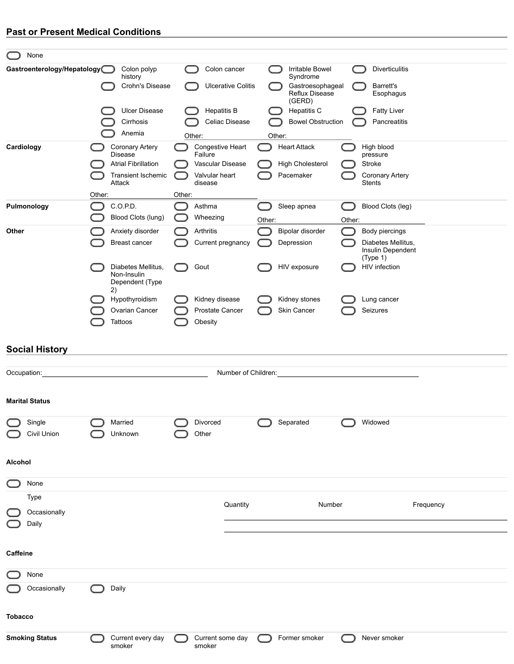## **Past or Present Medical Conditions**

| None                        |        |                                                         |        |                                    |                           |        |                                      |        |                                                     |
|-----------------------------|--------|---------------------------------------------------------|--------|------------------------------------|---------------------------|--------|--------------------------------------|--------|-----------------------------------------------------|
| Gastroenterology/Hepatology |        | Colon polyp<br>- 1                                      |        |                                    | Colon cancer              |        | Irritable Bowel                      |        | <b>Diverticulitis</b>                               |
|                             |        | history<br>Crohn's Disease                              |        |                                    | <b>Ulcerative Colitis</b> |        | Syndrome<br>Gastroesophageal         |        | Barrett's                                           |
|                             |        |                                                         |        |                                    |                           |        | Reflux Disease<br>(GERD)             |        | Esophagus                                           |
|                             |        | <b>Ulcer Disease</b>                                    |        |                                    | <b>Hepatitis B</b>        |        | Hepatitis C                          |        | <b>Fatty Liver</b>                                  |
|                             |        | Cirrhosis                                               |        |                                    | Celiac Disease            |        | <b>Bowel Obstruction</b>             |        | Pancreatitis                                        |
| Cardiology                  |        | Anemia                                                  |        | Other:<br>Congestive Heart         |                           |        | Other:                               |        | High blood                                          |
|                             |        | <b>Coronary Artery</b><br><b>Disease</b>                |        | Failure                            |                           |        | <b>Heart Attack</b>                  |        | pressure                                            |
|                             |        | <b>Atrial Fibrillation</b><br><b>Transient Ischemic</b> |        | Vascular Disease<br>Valvular heart |                           |        | <b>High Cholesterol</b><br>Pacemaker |        | Stroke<br><b>Coronary Artery</b>                    |
|                             |        | Attack                                                  |        | disease                            |                           |        |                                      |        | <b>Stents</b>                                       |
|                             | Other: |                                                         | Other: |                                    |                           |        |                                      |        |                                                     |
| Pulmonology                 |        | C.O.P.D.<br>Blood Clots (lung)                          |        | Asthma<br>Wheezing                 |                           | Other: | Sleep apnea                          | Other: | Blood Clots (leg)                                   |
| Other                       |        | Anxiety disorder                                        |        | Arthritis                          |                           |        | Bipolar disorder                     |        | Body piercings                                      |
|                             |        | <b>Breast cancer</b>                                    |        |                                    | Current pregnancy         |        | Depression                           |        | Diabetes Mellitus,<br>Insulin Dependent<br>(Type 1) |
|                             |        | Diabetes Mellitus,<br>Non-Insulin                       |        | Gout                               |                           |        | HIV exposure                         |        | HIV infection                                       |
|                             |        | Dependent (Type<br>2)                                   |        |                                    |                           |        |                                      |        |                                                     |
|                             |        | Hypothyroidism                                          |        | Kidney disease                     |                           |        | Kidney stones                        |        | Lung cancer                                         |
|                             |        | Ovarian Cancer<br>Tattoos                               |        | Prostate Cancer<br>Obesity         |                           |        | Skin Cancer                          |        | Seizures                                            |
|                             |        |                                                         |        |                                    |                           |        |                                      |        |                                                     |
| <b>Social History</b>       |        |                                                         |        |                                    |                           |        |                                      |        |                                                     |
| Occupation:                 |        |                                                         |        |                                    | Number of Children:       |        |                                      |        |                                                     |
|                             |        |                                                         |        |                                    |                           |        |                                      |        |                                                     |
| <b>Marital Status</b>       |        |                                                         |        |                                    |                           |        |                                      |        |                                                     |
| Single                      |        | Married                                                 |        | <b>Divorced</b>                    |                           |        | Separated                            |        | Widowed                                             |
| Civil Union                 |        | Unknown                                                 |        | Other                              |                           |        |                                      |        |                                                     |
| Alcohol                     |        |                                                         |        |                                    |                           |        |                                      |        |                                                     |
| None                        |        |                                                         |        |                                    |                           |        |                                      |        |                                                     |
| Type                        |        |                                                         |        |                                    |                           |        |                                      |        |                                                     |
| Occasionally                |        |                                                         |        |                                    | Quantity                  |        | Number                               |        | Frequency                                           |
| Daily                       |        |                                                         |        |                                    |                           |        |                                      |        |                                                     |
| Caffeine                    |        |                                                         |        |                                    |                           |        |                                      |        |                                                     |
| None                        |        |                                                         |        |                                    |                           |        |                                      |        |                                                     |
| Occasionally                |        | Daily                                                   |        |                                    |                           |        |                                      |        |                                                     |
| <b>Tobacco</b>              |        |                                                         |        |                                    |                           |        |                                      |        |                                                     |
| <b>Smoking Status</b>       |        | Current every day<br>smoker                             |        | Current some day<br>smoker         |                           |        | Former smoker                        |        | Never smoker                                        |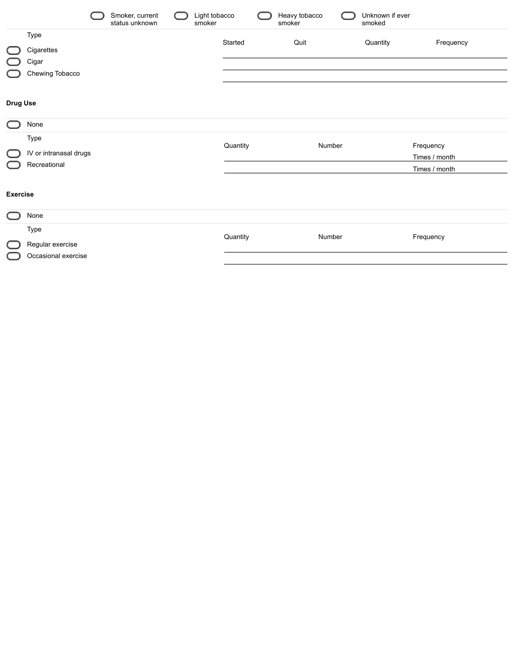|                 |                                                 | Smoker, current<br>status unknown | Light tobacco<br>smoker |          | Heavy tobacco<br>smoker | Unknown if ever<br>smoked |                                             |
|-----------------|-------------------------------------------------|-----------------------------------|-------------------------|----------|-------------------------|---------------------------|---------------------------------------------|
|                 | Type<br>Cigarettes<br>Cigar<br>Chewing Tobacco  |                                   |                         | Started  | Quit                    | Quantity                  | Frequency                                   |
| <b>Drug Use</b> |                                                 |                                   |                         |          |                         |                           |                                             |
|                 | None                                            |                                   |                         |          |                         |                           |                                             |
|                 | Type<br>IV or intranasal drugs<br>Recreational  |                                   |                         | Quantity | Number                  |                           | Frequency<br>Times / month<br>Times / month |
| <b>Exercise</b> |                                                 |                                   |                         |          |                         |                           |                                             |
| 11              | None                                            |                                   |                         |          |                         |                           |                                             |
|                 | Type<br>Regular exercise<br>Occasional exercise |                                   |                         | Quantity | Number                  |                           | Frequency                                   |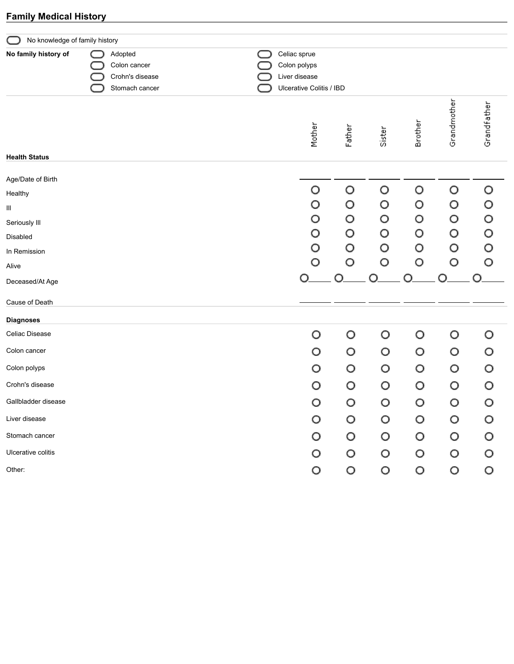## **Family Medical History**

| No knowledge of family history |                                                              |                                                                           |        |        |         |             |             |
|--------------------------------|--------------------------------------------------------------|---------------------------------------------------------------------------|--------|--------|---------|-------------|-------------|
| No family history of           | Adopted<br>Colon cancer<br>Crohn's disease<br>Stomach cancer | Celiac sprue<br>Colon polyps<br>Liver disease<br>Ulcerative Colitis / IBD |        |        |         |             |             |
|                                |                                                              | Mother                                                                    | Father | Sister | Brother | Grandmother | Grandfather |
| <b>Health Status</b>           |                                                              |                                                                           |        |        |         |             |             |
| Age/Date of Birth              |                                                              |                                                                           |        |        |         |             |             |
| Healthy                        |                                                              | O<br>O                                                                    | O      | O      | O<br>O  | O           | O           |
| Ш                              |                                                              | O                                                                         | O<br>O | O<br>O | O       | O<br>O      | O<br>O      |
| Seriously III                  |                                                              | O                                                                         | O      | O      | O       | O           | O           |
| Disabled<br>In Remission       |                                                              | O                                                                         | O      | O      | O       | O           | O           |
| Alive                          |                                                              | O                                                                         | O      | O      | O       | O           | O           |
| Deceased/At Age                |                                                              | ∩                                                                         | ◯      |        |         | ∩           |             |
| Cause of Death                 |                                                              |                                                                           |        |        |         |             |             |
| <b>Diagnoses</b>               |                                                              |                                                                           |        |        |         |             |             |
| Celiac Disease                 |                                                              | O                                                                         | O      | O      | O       | O           | O           |
| Colon cancer                   |                                                              | O                                                                         | O      | O      | O       | O           | O           |
| Colon polyps                   |                                                              | O                                                                         | O      | O      | O       | O           | O           |
| Crohn's disease                |                                                              | O                                                                         | O      | O      | O       | O           | O           |
| Gallbladder disease            |                                                              | O                                                                         | O      | O      | O       | O           | O           |
| Liver disease                  |                                                              | O                                                                         | O      | O      | O       | O           | O           |
| Stomach cancer                 |                                                              | O                                                                         | O      | O      | O       | O           | O           |
| Ulcerative colitis             |                                                              | O                                                                         | O      | O      | O       | O           | O           |
| Other:                         |                                                              | O                                                                         | O      | O      | O       | O           | O           |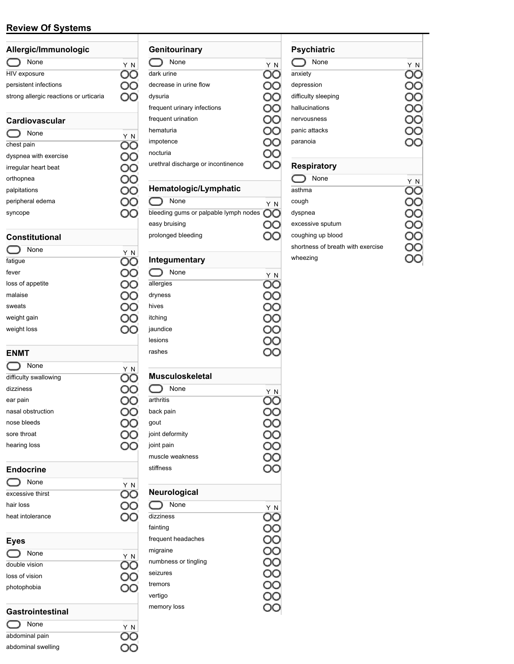### **Review Of Systems**

| Allergic/Immunologic                   |     |  |  |  |  |
|----------------------------------------|-----|--|--|--|--|
| None                                   | Y N |  |  |  |  |
| HIV exposure                           |     |  |  |  |  |
| persistent infections                  |     |  |  |  |  |
| strong allergic reactions or urticaria |     |  |  |  |  |
| Cardiovascular                         |     |  |  |  |  |
| None                                   | N   |  |  |  |  |
| chest pain                             |     |  |  |  |  |

| dyspnea with exercise |  |
|-----------------------|--|
| irregular heart beat  |  |
| orthopnea             |  |
| palpitations          |  |
| peripheral edema      |  |
| syncope               |  |

#### **Constitutional**

| None             | Y N |
|------------------|-----|
| fatigue          |     |
| fever            |     |
| loss of appetite |     |
| malaise          |     |
| sweats           |     |
| weight gain      |     |
| weight loss      |     |
|                  |     |

#### **ENMT**

| None                  | Y N |
|-----------------------|-----|
| difficulty swallowing |     |
| dizziness             |     |
| ear pain              |     |
| nasal obstruction     |     |
| nose bleeds           |     |
| sore throat           |     |
| hearing loss          |     |
|                       |     |

#### **Endocrine**

None Y N<br>sive thirst **OO** C excessive thirst hair loss heat intolerance

#### **Eyes**

| None           | ΥN |
|----------------|----|
| double vision  |    |
| loss of vision |    |
| photophobia    |    |
|                |    |

Y N<br>OO

OO

OO OO

#### **Gastrointestinal**

| None               |
|--------------------|
| abdominal pain     |
| abdominal swelling |

| Genitourinary                      |    |
|------------------------------------|----|
| None                               | ΥN |
| dark urine                         |    |
| decrease in urine flow             |    |
| dysuria                            |    |
| frequent urinary infections        |    |
| frequent urination                 |    |
| hematuria                          |    |
| impotence                          |    |
| nocturia                           |    |
| urethral discharge or incontinence |    |
|                                    |    |

## **Hematologic/Lymphatic**

| None                                             | ΥN |
|--------------------------------------------------|----|
| bleeding gums or palpable lymph nodes $\bigcirc$ |    |
| easy bruising                                    |    |
| prolonged bleeding                               |    |

## **Integumentary**

| None                   | ΥN |
|------------------------|----|
| allergies              |    |
| dryness                |    |
| hives                  |    |
| itching                |    |
| jaundice               |    |
| lesions                |    |
| rashes                 |    |
| <b>Musculoskeletal</b> |    |

frequent headaches

numbness or tingling

migraine

seizures tremors vertigo memory loss

| None            | ΥN |
|-----------------|----|
| arthritis       |    |
| back pain       |    |
| gout            |    |
| joint deformity |    |
| joint pain      |    |
| muscle weakness |    |
| stiffness       |    |
| Neurological    |    |
| None            | ΥN |
| dizziness       |    |
| fainting        |    |

OO OO OO

OO

OO

OO OO

#### **Psychiatric** None Y N<br>anxiety OO anxiety depression OO OO difficulty sleeping OO hallucinations nervousness OO OO panic attacks paranoia OO **Respiratory** None Y N asthma  $\overline{\rm{O}}\overline{\rm{O}}$ cough OO dyspnea OO OO excessive sputum OO coughing up blood shortness of breath with exercise OO wheezingOO